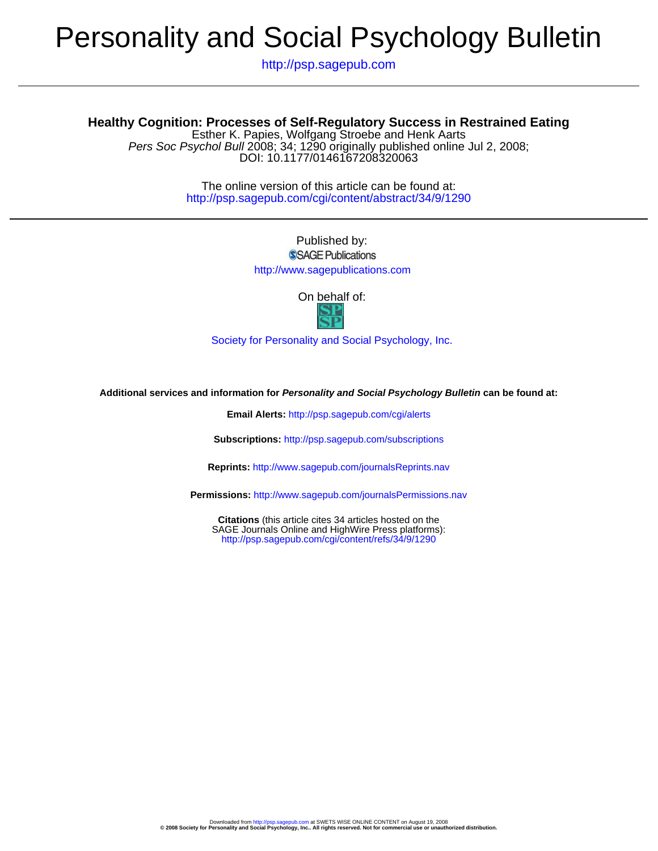# Personality and Social Psychology Bulletin

http://psp.sagepub.com

# **Healthy Cognition: Processes of Self-Regulatory Success in Restrained Eating**

DOI: 10.1177/0146167208320063 Pers Soc Psychol Bull 2008; 34; 1290 originally published online Jul 2, 2008; Esther K. Papies, Wolfgang Stroebe and Henk Aarts

> http://psp.sagepub.com/cgi/content/abstract/34/9/1290 The online version of this article can be found at:

> > Published by: SSAGE Publications

http://www.sagepublications.com

On behalf of:



[Society for Personality and Social Psychology, Inc.](http://www.spsp.org/)

**Additional services and information for Personality and Social Psychology Bulletin can be found at:**

**Email Alerts:** <http://psp.sagepub.com/cgi/alerts>

**Subscriptions:** <http://psp.sagepub.com/subscriptions>

**Reprints:** <http://www.sagepub.com/journalsReprints.nav>

**Permissions:** <http://www.sagepub.com/journalsPermissions.nav>

<http://psp.sagepub.com/cgi/content/refs/34/9/1290> SAGE Journals Online and HighWire Press platforms): **Citations** (this article cites 34 articles hosted on the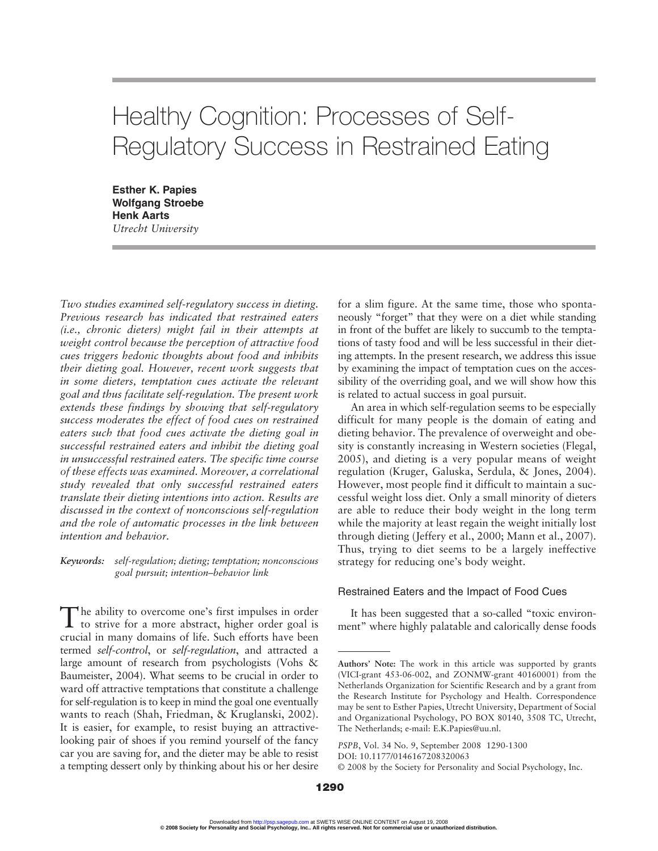# Healthy Cognition: Processes of Self-Regulatory Success in Restrained Eating

**Esther K. Papies Wolfgang Stroebe Henk Aarts** *Utrecht University*

*Two studies examined self-regulatory success in dieting. Previous research has indicated that restrained eaters (i.e., chronic dieters) might fail in their attempts at weight control because the perception of attractive food cues triggers hedonic thoughts about food and inhibits their dieting goal. However, recent work suggests that in some dieters, temptation cues activate the relevant goal and thus facilitate self-regulation. The present work extends these findings by showing that self-regulatory success moderates the effect of food cues on restrained eaters such that food cues activate the dieting goal in successful restrained eaters and inhibit the dieting goal in unsuccessful restrained eaters. The specific time course of these effects was examined. Moreover, a correlational study revealed that only successful restrained eaters translate their dieting intentions into action. Results are discussed in the context of nonconscious self-regulation and the role of automatic processes in the link between intention and behavior.*

*Keywords: self-regulation; dieting; temptation; nonconscious goal pursuit; intention–behavior link*

The ability to overcome one's first impulses in order to strive for a more abstract, higher order goal is crucial in many domains of life. Such efforts have been termed *self-control*, or *self-regulation*, and attracted a large amount of research from psychologists (Vohs & Baumeister, 2004). What seems to be crucial in order to ward off attractive temptations that constitute a challenge for self-regulation is to keep in mind the goal one eventually wants to reach (Shah, Friedman, & Kruglanski, 2002). It is easier, for example, to resist buying an attractivelooking pair of shoes if you remind yourself of the fancy car you are saving for, and the dieter may be able to resist a tempting dessert only by thinking about his or her desire for a slim figure. At the same time, those who spontaneously "forget" that they were on a diet while standing in front of the buffet are likely to succumb to the temptations of tasty food and will be less successful in their dieting attempts. In the present research, we address this issue by examining the impact of temptation cues on the accessibility of the overriding goal, and we will show how this is related to actual success in goal pursuit.

An area in which self-regulation seems to be especially difficult for many people is the domain of eating and dieting behavior. The prevalence of overweight and obesity is constantly increasing in Western societies (Flegal, 2005), and dieting is a very popular means of weight regulation (Kruger, Galuska, Serdula, & Jones, 2004). However, most people find it difficult to maintain a successful weight loss diet. Only a small minority of dieters are able to reduce their body weight in the long term while the majority at least regain the weight initially lost through dieting (Jeffery et al., 2000; Mann et al., 2007). Thus, trying to diet seems to be a largely ineffective strategy for reducing one's body weight.

#### Restrained Eaters and the Impact of Food Cues

It has been suggested that a so-called "toxic environment" where highly palatable and calorically dense foods

**Authors' Note:** The work in this article was supported by grants (VICI-grant 453-06-002, and ZONMW-grant 40160001) from the Netherlands Organization for Scientific Research and by a grant from the Research Institute for Psychology and Health. Correspondence may be sent to Esther Papies, Utrecht University, Department of Social and Organizational Psychology, PO BOX 80140, 3508 TC, Utrecht, The Netherlands; e-mail: E.K.Papies@uu.nl.

*PSPB*, Vol. 34 No. 9, September 2008 1290-1300

DOI: 10.1177/0146167208320063

<sup>© 2008</sup> by the Society for Personality and Social Psychology, Inc.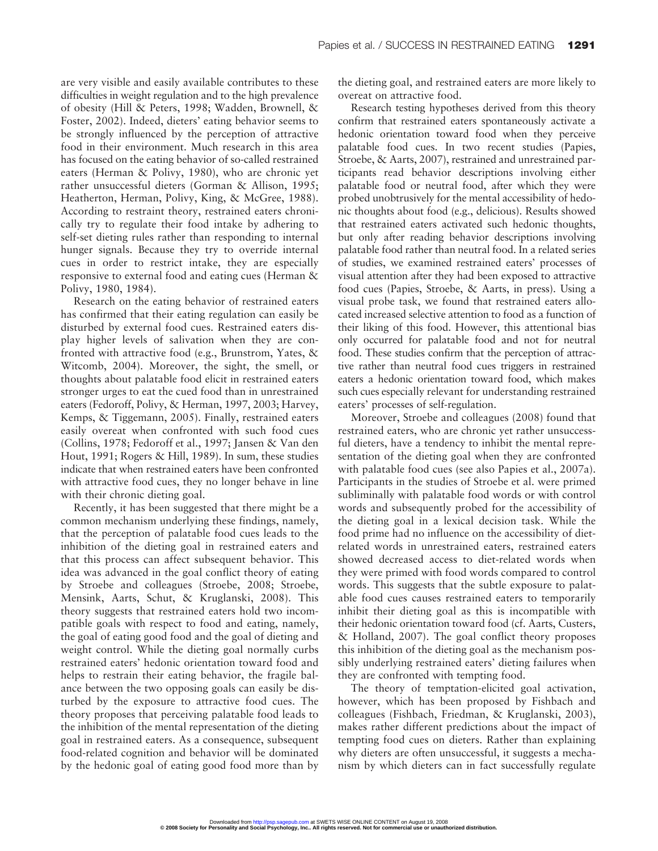are very visible and easily available contributes to these difficulties in weight regulation and to the high prevalence of obesity (Hill & Peters, 1998; Wadden, Brownell, & Foster, 2002). Indeed, dieters' eating behavior seems to be strongly influenced by the perception of attractive food in their environment. Much research in this area has focused on the eating behavior of so-called restrained eaters (Herman & Polivy, 1980), who are chronic yet rather unsuccessful dieters (Gorman & Allison, 1995; Heatherton, Herman, Polivy, King, & McGree, 1988). According to restraint theory, restrained eaters chronically try to regulate their food intake by adhering to self-set dieting rules rather than responding to internal hunger signals. Because they try to override internal cues in order to restrict intake, they are especially responsive to external food and eating cues (Herman & Polivy, 1980, 1984).

Research on the eating behavior of restrained eaters has confirmed that their eating regulation can easily be disturbed by external food cues. Restrained eaters display higher levels of salivation when they are confronted with attractive food (e.g., Brunstrom, Yates, & Witcomb, 2004). Moreover, the sight, the smell, or thoughts about palatable food elicit in restrained eaters stronger urges to eat the cued food than in unrestrained eaters (Fedoroff, Polivy, & Herman, 1997, 2003; Harvey, Kemps, & Tiggemann, 2005). Finally, restrained eaters easily overeat when confronted with such food cues (Collins, 1978; Fedoroff et al., 1997; Jansen & Van den Hout, 1991; Rogers & Hill, 1989). In sum, these studies indicate that when restrained eaters have been confronted with attractive food cues, they no longer behave in line with their chronic dieting goal.

Recently, it has been suggested that there might be a common mechanism underlying these findings, namely, that the perception of palatable food cues leads to the inhibition of the dieting goal in restrained eaters and that this process can affect subsequent behavior. This idea was advanced in the goal conflict theory of eating by Stroebe and colleagues (Stroebe, 2008; Stroebe, Mensink, Aarts, Schut, & Kruglanski, 2008). This theory suggests that restrained eaters hold two incompatible goals with respect to food and eating, namely, the goal of eating good food and the goal of dieting and weight control. While the dieting goal normally curbs restrained eaters' hedonic orientation toward food and helps to restrain their eating behavior, the fragile balance between the two opposing goals can easily be disturbed by the exposure to attractive food cues. The theory proposes that perceiving palatable food leads to the inhibition of the mental representation of the dieting goal in restrained eaters. As a consequence, subsequent food-related cognition and behavior will be dominated by the hedonic goal of eating good food more than by the dieting goal, and restrained eaters are more likely to overeat on attractive food.

Research testing hypotheses derived from this theory confirm that restrained eaters spontaneously activate a hedonic orientation toward food when they perceive palatable food cues. In two recent studies (Papies, Stroebe, & Aarts, 2007), restrained and unrestrained participants read behavior descriptions involving either palatable food or neutral food, after which they were probed unobtrusively for the mental accessibility of hedonic thoughts about food (e.g., delicious). Results showed that restrained eaters activated such hedonic thoughts, but only after reading behavior descriptions involving palatable food rather than neutral food. In a related series of studies, we examined restrained eaters' processes of visual attention after they had been exposed to attractive food cues (Papies, Stroebe, & Aarts, in press). Using a visual probe task, we found that restrained eaters allocated increased selective attention to food as a function of their liking of this food. However, this attentional bias only occurred for palatable food and not for neutral food. These studies confirm that the perception of attractive rather than neutral food cues triggers in restrained eaters a hedonic orientation toward food, which makes such cues especially relevant for understanding restrained eaters' processes of self-regulation.

Moreover, Stroebe and colleagues (2008) found that restrained eaters, who are chronic yet rather unsuccessful dieters, have a tendency to inhibit the mental representation of the dieting goal when they are confronted with palatable food cues (see also Papies et al., 2007a). Participants in the studies of Stroebe et al. were primed subliminally with palatable food words or with control words and subsequently probed for the accessibility of the dieting goal in a lexical decision task. While the food prime had no influence on the accessibility of dietrelated words in unrestrained eaters, restrained eaters showed decreased access to diet-related words when they were primed with food words compared to control words. This suggests that the subtle exposure to palatable food cues causes restrained eaters to temporarily inhibit their dieting goal as this is incompatible with their hedonic orientation toward food (cf. Aarts, Custers, & Holland, 2007). The goal conflict theory proposes this inhibition of the dieting goal as the mechanism possibly underlying restrained eaters' dieting failures when they are confronted with tempting food.

The theory of temptation-elicited goal activation, however, which has been proposed by Fishbach and colleagues (Fishbach, Friedman, & Kruglanski, 2003), makes rather different predictions about the impact of tempting food cues on dieters. Rather than explaining why dieters are often unsuccessful, it suggests a mechanism by which dieters can in fact successfully regulate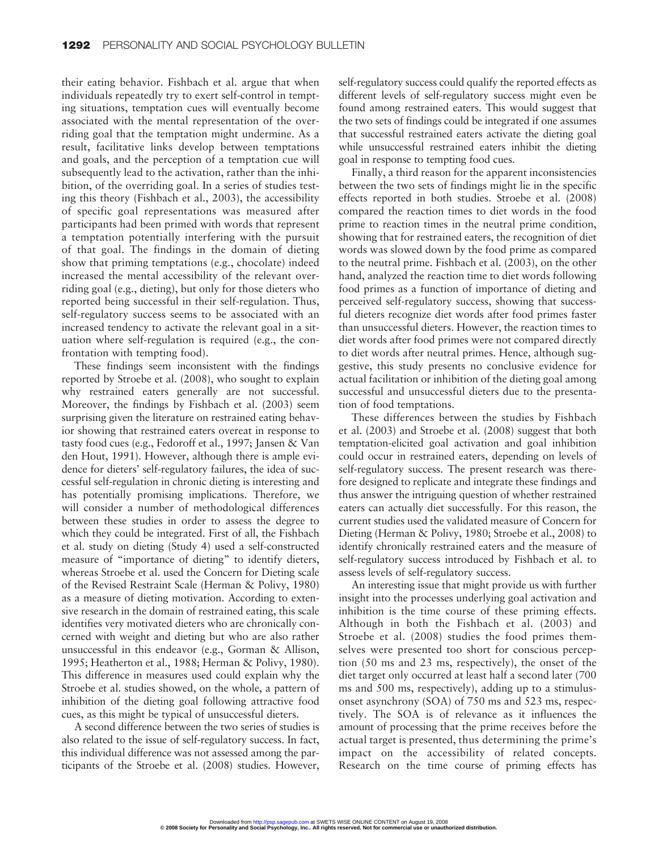their eating behavior. Fishbach et al. argue that when individuals repeatedly try to exert self-control in tempting situations, temptation cues will eventually become associated with the mental representation of the overriding goal that the temptation might undermine. As a result, facilitative links develop between temptations and goals, and the perception of a temptation cue will subsequently lead to the activation, rather than the inhibition, of the overriding goal. In a series of studies testing this theory (Fishbach et al., 2003), the accessibility of specific goal representations was measured after participants had been primed with words that represent a temptation potentially interfering with the pursuit of that goal. The findings in the domain of dieting show that priming temptations (e.g., chocolate) indeed increased the mental accessibility of the relevant overriding goal (e.g., dieting), but only for those dieters who reported being successful in their self-regulation. Thus, self-regulatory success seems to be associated with an increased tendency to activate the relevant goal in a situation where self-regulation is required (e.g., the confrontation with tempting food).

These findings seem inconsistent with the findings reported by Stroebe et al. (2008), who sought to explain why restrained eaters generally are not successful. Moreover, the findings by Fishbach et al. (2003) seem surprising given the literature on restrained eating behavior showing that restrained eaters overeat in response to tasty food cues (e.g., Fedoroff et al., 1997; Jansen & Van den Hout, 1991). However, although there is ample evidence for dieters' self-regulatory failures, the idea of successful self-regulation in chronic dieting is interesting and has potentially promising implications. Therefore, we will consider a number of methodological differences between these studies in order to assess the degree to which they could be integrated. First of all, the Fishbach et al. study on dieting (Study 4) used a self-constructed measure of "importance of dieting" to identify dieters, whereas Stroebe et al. used the Concern for Dieting scale of the Revised Restraint Scale (Herman & Polivy, 1980) as a measure of dieting motivation. According to extensive research in the domain of restrained eating, this scale identifies very motivated dieters who are chronically concerned with weight and dieting but who are also rather unsuccessful in this endeavor (e.g., Gorman & Allison, 1995; Heatherton et al., 1988; Herman & Polivy, 1980). This difference in measures used could explain why the Stroebe et al. studies showed, on the whole, a pattern of inhibition of the dieting goal following attractive food cues, as this might be typical of unsuccessful dieters.

A second difference between the two series of studies is also related to the issue of self-regulatory success. In fact, this individual difference was not assessed among the participants of the Stroebe et al. (2008) studies. However,

self-regulatory success could qualify the reported effects as different levels of self-regulatory success might even be found among restrained eaters. This would suggest that the two sets of findings could be integrated if one assumes that successful restrained eaters activate the dieting goal while unsuccessful restrained eaters inhibit the dieting goal in response to tempting food cues.

Finally, a third reason for the apparent inconsistencies between the two sets of findings might lie in the specific effects reported in both studies. Stroebe et al. (2008) compared the reaction times to diet words in the food prime to reaction times in the neutral prime condition, showing that for restrained eaters, the recognition of diet words was slowed down by the food prime as compared to the neutral prime. Fishbach et al. (2003), on the other hand, analyzed the reaction time to diet words following food primes as a function of importance of dieting and perceived self-regulatory success, showing that successful dieters recognize diet words after food primes faster than unsuccessful dieters. However, the reaction times to diet words after food primes were not compared directly to diet words after neutral primes. Hence, although suggestive, this study presents no conclusive evidence for actual facilitation or inhibition of the dieting goal among successful and unsuccessful dieters due to the presentation of food temptations.

These differences between the studies by Fishbach et al. (2003) and Stroebe et al. (2008) suggest that both temptation-elicited goal activation and goal inhibition could occur in restrained eaters, depending on levels of self-regulatory success. The present research was therefore designed to replicate and integrate these findings and thus answer the intriguing question of whether restrained eaters can actually diet successfully. For this reason, the current studies used the validated measure of Concern for Dieting (Herman & Polivy, 1980; Stroebe et al., 2008) to identify chronically restrained eaters and the measure of self-regulatory success introduced by Fishbach et al. to assess levels of self-regulatory success.

An interesting issue that might provide us with further insight into the processes underlying goal activation and inhibition is the time course of these priming effects. Although in both the Fishbach et al. (2003) and Stroebe et al. (2008) studies the food primes themselves were presented too short for conscious perception (50 ms and 23 ms, respectively), the onset of the diet target only occurred at least half a second later (700 ms and 500 ms, respectively), adding up to a stimulusonset asynchrony (SOA) of 750 ms and 523 ms, respectively. The SOA is of relevance as it influences the amount of processing that the prime receives before the actual target is presented, thus determining the prime's impact on the accessibility of related concepts. Research on the time course of priming effects has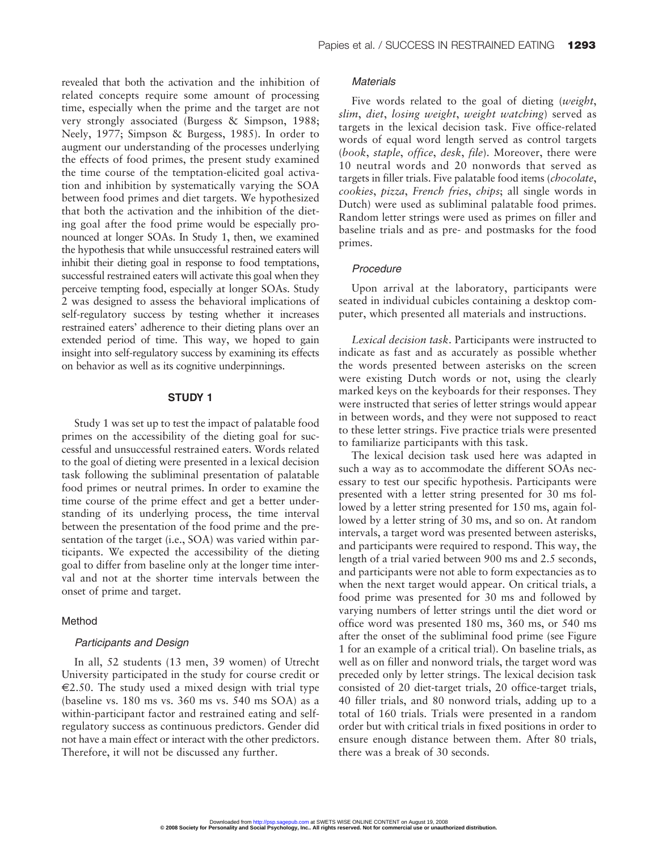revealed that both the activation and the inhibition of related concepts require some amount of processing time, especially when the prime and the target are not very strongly associated (Burgess & Simpson, 1988; Neely, 1977; Simpson & Burgess, 1985). In order to augment our understanding of the processes underlying the effects of food primes, the present study examined the time course of the temptation-elicited goal activation and inhibition by systematically varying the SOA between food primes and diet targets. We hypothesized that both the activation and the inhibition of the dieting goal after the food prime would be especially pronounced at longer SOAs. In Study 1, then, we examined the hypothesis that while unsuccessful restrained eaters will inhibit their dieting goal in response to food temptations, successful restrained eaters will activate this goal when they perceive tempting food, especially at longer SOAs. Study 2 was designed to assess the behavioral implications of self-regulatory success by testing whether it increases restrained eaters' adherence to their dieting plans over an extended period of time. This way, we hoped to gain insight into self-regulatory success by examining its effects on behavior as well as its cognitive underpinnings.

# **STUDY 1**

Study 1 was set up to test the impact of palatable food primes on the accessibility of the dieting goal for successful and unsuccessful restrained eaters. Words related to the goal of dieting were presented in a lexical decision task following the subliminal presentation of palatable food primes or neutral primes. In order to examine the time course of the prime effect and get a better understanding of its underlying process, the time interval between the presentation of the food prime and the presentation of the target (i.e., SOA) was varied within participants. We expected the accessibility of the dieting goal to differ from baseline only at the longer time interval and not at the shorter time intervals between the onset of prime and target.

#### Method

#### Participants and Design

In all, 52 students (13 men, 39 women) of Utrecht University participated in the study for course credit or  $\epsilon$ 2.50. The study used a mixed design with trial type (baseline vs. 180 ms vs. 360 ms vs. 540 ms SOA) as a within-participant factor and restrained eating and selfregulatory success as continuous predictors. Gender did not have a main effect or interact with the other predictors. Therefore, it will not be discussed any further.

#### **Materials**

Five words related to the goal of dieting (*weight*, *slim*, *diet*, *losing weight*, *weight watching*) served as targets in the lexical decision task. Five office-related words of equal word length served as control targets (*book*, *staple*, *office*, *desk*, *file*). Moreover, there were 10 neutral words and 20 nonwords that served as targets in filler trials. Five palatable food items (*chocolate*, *cookies*, *pizza*, *French fries*, *chips*; all single words in Dutch) were used as subliminal palatable food primes. Random letter strings were used as primes on filler and baseline trials and as pre- and postmasks for the food primes.

#### Procedure

Upon arrival at the laboratory, participants were seated in individual cubicles containing a desktop computer, which presented all materials and instructions.

*Lexical decision task*. Participants were instructed to indicate as fast and as accurately as possible whether the words presented between asterisks on the screen were existing Dutch words or not, using the clearly marked keys on the keyboards for their responses. They were instructed that series of letter strings would appear in between words, and they were not supposed to react to these letter strings. Five practice trials were presented to familiarize participants with this task.

The lexical decision task used here was adapted in such a way as to accommodate the different SOAs necessary to test our specific hypothesis. Participants were presented with a letter string presented for 30 ms followed by a letter string presented for 150 ms, again followed by a letter string of 30 ms, and so on. At random intervals, a target word was presented between asterisks, and participants were required to respond. This way, the length of a trial varied between 900 ms and 2.5 seconds, and participants were not able to form expectancies as to when the next target would appear. On critical trials, a food prime was presented for 30 ms and followed by varying numbers of letter strings until the diet word or office word was presented 180 ms, 360 ms, or 540 ms after the onset of the subliminal food prime (see Figure 1 for an example of a critical trial). On baseline trials, as well as on filler and nonword trials, the target word was preceded only by letter strings. The lexical decision task consisted of 20 diet-target trials, 20 office-target trials, 40 filler trials, and 80 nonword trials, adding up to a total of 160 trials. Trials were presented in a random order but with critical trials in fixed positions in order to ensure enough distance between them. After 80 trials, there was a break of 30 seconds.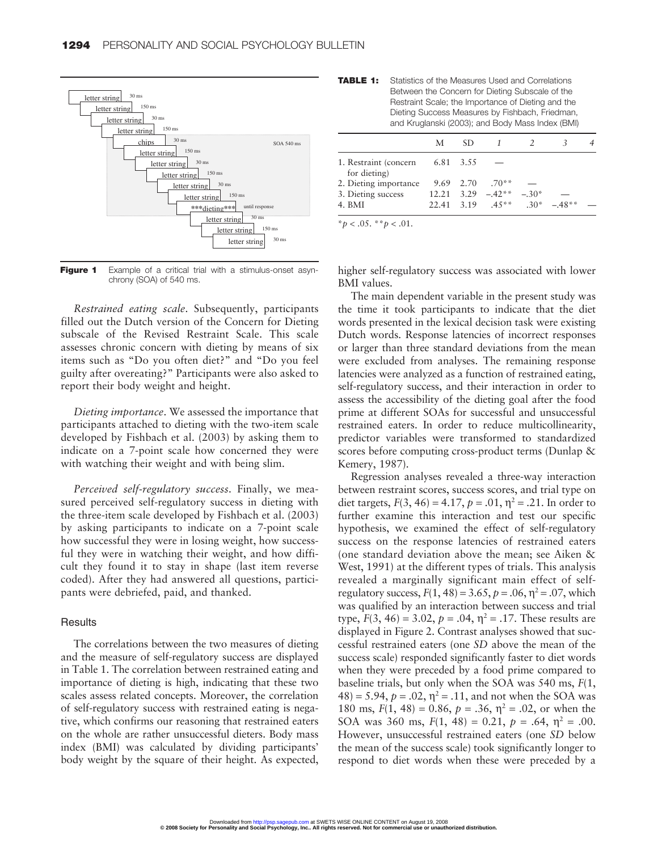

**Figure 1** Example of a critical trial with a stimulus-onset asynchrony (SOA) of 540 ms.

*Restrained eating scale*. Subsequently, participants filled out the Dutch version of the Concern for Dieting subscale of the Revised Restraint Scale. This scale assesses chronic concern with dieting by means of six items such as "Do you often diet?" and "Do you feel guilty after overeating?" Participants were also asked to report their body weight and height.

*Dieting importance*. We assessed the importance that participants attached to dieting with the two-item scale developed by Fishbach et al. (2003) by asking them to indicate on a 7-point scale how concerned they were with watching their weight and with being slim.

*Perceived self-regulatory success*. Finally, we measured perceived self-regulatory success in dieting with the three-item scale developed by Fishbach et al. (2003) by asking participants to indicate on a 7-point scale how successful they were in losing weight, how successful they were in watching their weight, and how difficult they found it to stay in shape (last item reverse coded). After they had answered all questions, participants were debriefed, paid, and thanked.

#### **Results**

The correlations between the two measures of dieting and the measure of self-regulatory success are displayed in Table 1. The correlation between restrained eating and importance of dieting is high, indicating that these two scales assess related concepts. Moreover, the correlation of self-regulatory success with restrained eating is negative, which confirms our reasoning that restrained eaters on the whole are rather unsuccessful dieters. Body mass index (BMI) was calculated by dividing participants' body weight by the square of their height. As expected,

**TABLE 1:** Statistics of the Measures Used and Correlations Between the Concern for Dieting Subscale of the Restraint Scale; the Importance of Dieting and the Dieting Success Measures by Fishbach, Friedman, and Kruglanski (2003); and Body Mass Index (BMI)

|                                       | М                  | SD.           |                                |        |          |  |
|---------------------------------------|--------------------|---------------|--------------------------------|--------|----------|--|
| 1. Restraint (concern<br>for dieting) |                    | 6.81 3.55     |                                |        |          |  |
| 2. Dieting importance                 |                    | $9.69$ $2.70$ | $.70**$                        |        |          |  |
| 3. Dieting success                    |                    |               | $12.21 \quad 3.29 \quad -42**$ | $-30*$ |          |  |
| 4. BMI                                | $22.41 \quad 3.19$ |               | $.45**$                        | $30*$  | $-.48**$ |  |

\**p* < .05. \*\**p* < .01.

higher self-regulatory success was associated with lower BMI values.

The main dependent variable in the present study was the time it took participants to indicate that the diet words presented in the lexical decision task were existing Dutch words. Response latencies of incorrect responses or larger than three standard deviations from the mean were excluded from analyses. The remaining response latencies were analyzed as a function of restrained eating, self-regulatory success, and their interaction in order to assess the accessibility of the dieting goal after the food prime at different SOAs for successful and unsuccessful restrained eaters. In order to reduce multicollinearity, predictor variables were transformed to standardized scores before computing cross-product terms (Dunlap & Kemery, 1987).

Regression analyses revealed a three-way interaction between restraint scores, success scores, and trial type on diet targets,  $F(3, 46) = 4.17$ ,  $p = .01$ ,  $\eta^2 = .21$ . In order to further examine this interaction and test our specific hypothesis, we examined the effect of self-regulatory success on the response latencies of restrained eaters (one standard deviation above the mean; see Aiken & West, 1991) at the different types of trials. This analysis revealed a marginally significant main effect of selfregulatory success,  $F(1, 48) = 3.65$ ,  $p = .06$ ,  $\eta^2 = .07$ , which was qualified by an interaction between success and trial type,  $F(3, 46) = 3.02$ ,  $p = .04$ ,  $\eta^2 = .17$ . These results are displayed in Figure 2. Contrast analyses showed that successful restrained eaters (one *SD* above the mean of the success scale) responded significantly faster to diet words when they were preceded by a food prime compared to baseline trials, but only when the SOA was 540 ms, *F*(1,  $(48) = 5.94, p = .02, \eta^2 = .11,$  and not when the SOA was 180 ms,  $F(1, 48) = 0.86$ ,  $p = .36$ ,  $\eta^2 = .02$ , or when the SOA was 360 ms,  $F(1, 48) = 0.21$ ,  $p = .64$ ,  $\eta^2 = .00$ . However, unsuccessful restrained eaters (one *SD* below the mean of the success scale) took significantly longer to respond to diet words when these were preceded by a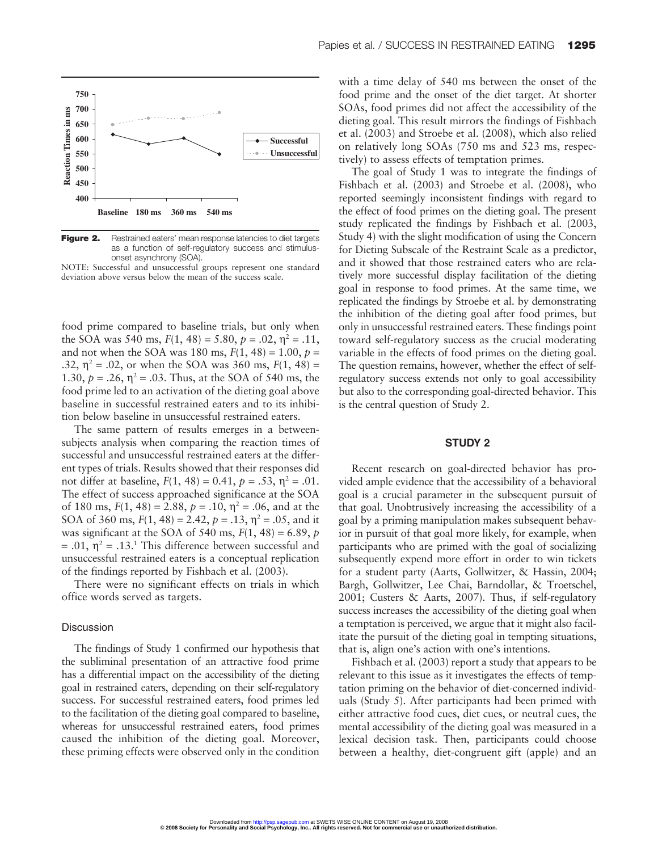

**Figure 2.** Restrained eaters' mean response latencies to diet targets as a function of self-regulatory success and stimulusonset asynchrony (SOA).

NOTE: Successful and unsuccessful groups represent one standard deviation above versus below the mean of the success scale.

food prime compared to baseline trials, but only when the SOA was 540 ms,  $F(1, 48) = 5.80$ ,  $p = .02$ ,  $\eta^2 = .11$ , and not when the SOA was 180 ms,  $F(1, 48) = 1.00$ ,  $p =$ .32,  $\eta^2$  = .02, or when the SOA was 360 ms,  $F(1, 48)$  = 1.30,  $p = 0.26$ ,  $\eta^2 = 0.03$ . Thus, at the SOA of 540 ms, the food prime led to an activation of the dieting goal above baseline in successful restrained eaters and to its inhibition below baseline in unsuccessful restrained eaters.

The same pattern of results emerges in a betweensubjects analysis when comparing the reaction times of successful and unsuccessful restrained eaters at the different types of trials. Results showed that their responses did not differ at baseline,  $F(1, 48) = 0.41$ ,  $p = .53$ ,  $\eta^2 = .01$ . The effect of success approached significance at the SOA of 180 ms,  $F(1, 48) = 2.88$ ,  $p = .10$ ,  $\eta^2 = .06$ , and at the SOA of 360 ms,  $F(1, 48) = 2.42$ ,  $p = .13$ ,  $\eta^2 = .05$ , and it was significant at the SOA of 540 ms,  $F(1, 48) = 6.89$ , *p* = .01,  $\eta^2$  = .13.<sup>1</sup> This difference between successful and unsuccessful restrained eaters is a conceptual replication of the findings reported by Fishbach et al. (2003).

There were no significant effects on trials in which office words served as targets.

# **Discussion**

The findings of Study 1 confirmed our hypothesis that the subliminal presentation of an attractive food prime has a differential impact on the accessibility of the dieting goal in restrained eaters, depending on their self-regulatory success. For successful restrained eaters, food primes led to the facilitation of the dieting goal compared to baseline, whereas for unsuccessful restrained eaters, food primes caused the inhibition of the dieting goal. Moreover, these priming effects were observed only in the condition

with a time delay of 540 ms between the onset of the food prime and the onset of the diet target. At shorter SOAs, food primes did not affect the accessibility of the dieting goal. This result mirrors the findings of Fishbach et al. (2003) and Stroebe et al. (2008), which also relied on relatively long SOAs (750 ms and 523 ms, respectively) to assess effects of temptation primes.

The goal of Study 1 was to integrate the findings of Fishbach et al. (2003) and Stroebe et al. (2008), who reported seemingly inconsistent findings with regard to the effect of food primes on the dieting goal. The present study replicated the findings by Fishbach et al. (2003, Study 4) with the slight modification of using the Concern for Dieting Subscale of the Restraint Scale as a predictor, and it showed that those restrained eaters who are relatively more successful display facilitation of the dieting goal in response to food primes. At the same time, we replicated the findings by Stroebe et al. by demonstrating the inhibition of the dieting goal after food primes, but only in unsuccessful restrained eaters. These findings point toward self-regulatory success as the crucial moderating variable in the effects of food primes on the dieting goal. The question remains, however, whether the effect of selfregulatory success extends not only to goal accessibility but also to the corresponding goal-directed behavior. This is the central question of Study 2.

# **STUDY 2**

Recent research on goal-directed behavior has provided ample evidence that the accessibility of a behavioral goal is a crucial parameter in the subsequent pursuit of that goal. Unobtrusively increasing the accessibility of a goal by a priming manipulation makes subsequent behavior in pursuit of that goal more likely, for example, when participants who are primed with the goal of socializing subsequently expend more effort in order to win tickets for a student party (Aarts, Gollwitzer, & Hassin, 2004; Bargh, Gollwitzer, Lee Chai, Barndollar, & Troetschel, 2001; Custers & Aarts, 2007). Thus, if self-regulatory success increases the accessibility of the dieting goal when a temptation is perceived, we argue that it might also facilitate the pursuit of the dieting goal in tempting situations, that is, align one's action with one's intentions.

Fishbach et al. (2003) report a study that appears to be relevant to this issue as it investigates the effects of temptation priming on the behavior of diet-concerned individuals (Study 5). After participants had been primed with either attractive food cues, diet cues, or neutral cues, the mental accessibility of the dieting goal was measured in a lexical decision task. Then, participants could choose between a healthy, diet-congruent gift (apple) and an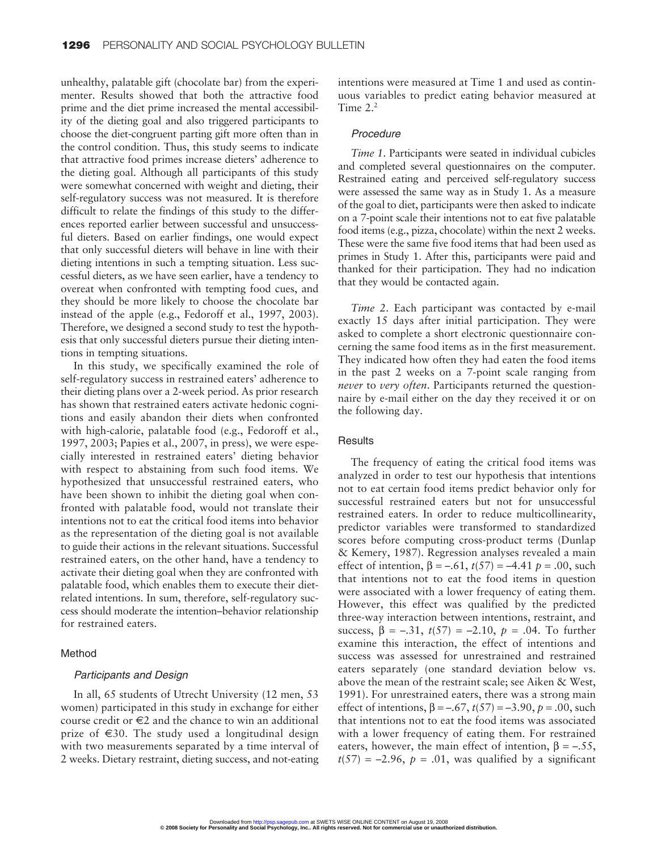unhealthy, palatable gift (chocolate bar) from the experimenter. Results showed that both the attractive food prime and the diet prime increased the mental accessibility of the dieting goal and also triggered participants to choose the diet-congruent parting gift more often than in the control condition. Thus, this study seems to indicate that attractive food primes increase dieters' adherence to the dieting goal. Although all participants of this study were somewhat concerned with weight and dieting, their self-regulatory success was not measured. It is therefore difficult to relate the findings of this study to the differences reported earlier between successful and unsuccessful dieters. Based on earlier findings, one would expect that only successful dieters will behave in line with their dieting intentions in such a tempting situation. Less successful dieters, as we have seen earlier, have a tendency to overeat when confronted with tempting food cues, and they should be more likely to choose the chocolate bar instead of the apple (e.g., Fedoroff et al., 1997, 2003). Therefore, we designed a second study to test the hypothesis that only successful dieters pursue their dieting intentions in tempting situations.

In this study, we specifically examined the role of self-regulatory success in restrained eaters' adherence to their dieting plans over a 2-week period. As prior research has shown that restrained eaters activate hedonic cognitions and easily abandon their diets when confronted with high-calorie, palatable food (e.g., Fedoroff et al., 1997, 2003; Papies et al., 2007, in press), we were especially interested in restrained eaters' dieting behavior with respect to abstaining from such food items. We hypothesized that unsuccessful restrained eaters, who have been shown to inhibit the dieting goal when confronted with palatable food, would not translate their intentions not to eat the critical food items into behavior as the representation of the dieting goal is not available to guide their actions in the relevant situations. Successful restrained eaters, on the other hand, have a tendency to activate their dieting goal when they are confronted with palatable food, which enables them to execute their dietrelated intentions. In sum, therefore, self-regulatory success should moderate the intention–behavior relationship for restrained eaters.

# Method

# Participants and Design

In all, 65 students of Utrecht University (12 men, 53 women) participated in this study in exchange for either course credit or  $\epsilon$ 2 and the chance to win an additional prize of  $\in$ 30. The study used a longitudinal design with two measurements separated by a time interval of 2 weeks. Dietary restraint, dieting success, and not-eating intentions were measured at Time 1 and used as continuous variables to predict eating behavior measured at Time  $2.<sup>2</sup>$ 

# Procedure

*Time 1*. Participants were seated in individual cubicles and completed several questionnaires on the computer. Restrained eating and perceived self-regulatory success were assessed the same way as in Study 1. As a measure of the goal to diet, participants were then asked to indicate on a 7-point scale their intentions not to eat five palatable food items (e.g., pizza, chocolate) within the next 2 weeks. These were the same five food items that had been used as primes in Study 1. After this, participants were paid and thanked for their participation. They had no indication that they would be contacted again.

*Time 2*. Each participant was contacted by e-mail exactly 15 days after initial participation. They were asked to complete a short electronic questionnaire concerning the same food items as in the first measurement. They indicated how often they had eaten the food items in the past 2 weeks on a 7-point scale ranging from *never* to *very often*. Participants returned the questionnaire by e-mail either on the day they received it or on the following day.

# **Results**

The frequency of eating the critical food items was analyzed in order to test our hypothesis that intentions not to eat certain food items predict behavior only for successful restrained eaters but not for unsuccessful restrained eaters. In order to reduce multicollinearity, predictor variables were transformed to standardized scores before computing cross-product terms (Dunlap & Kemery, 1987). Regression analyses revealed a main effect of intention,  $β = -.61, t(57) = -4.41 p = .00$ , such that intentions not to eat the food items in question were associated with a lower frequency of eating them. However, this effect was qualified by the predicted three-way interaction between intentions, restraint, and success,  $β = -.31, t(57) = -2.10, p = .04$ . To further examine this interaction, the effect of intentions and success was assessed for unrestrained and restrained eaters separately (one standard deviation below vs. above the mean of the restraint scale; see Aiken & West, 1991). For unrestrained eaters, there was a strong main effect of intentions,  $β = -.67, t(57) = -3.90, p = .00$ , such that intentions not to eat the food items was associated with a lower frequency of eating them. For restrained eaters, however, the main effect of intention,  $\beta = -.55$ ,  $t(57) = -2.96$ ,  $p = .01$ , was qualified by a significant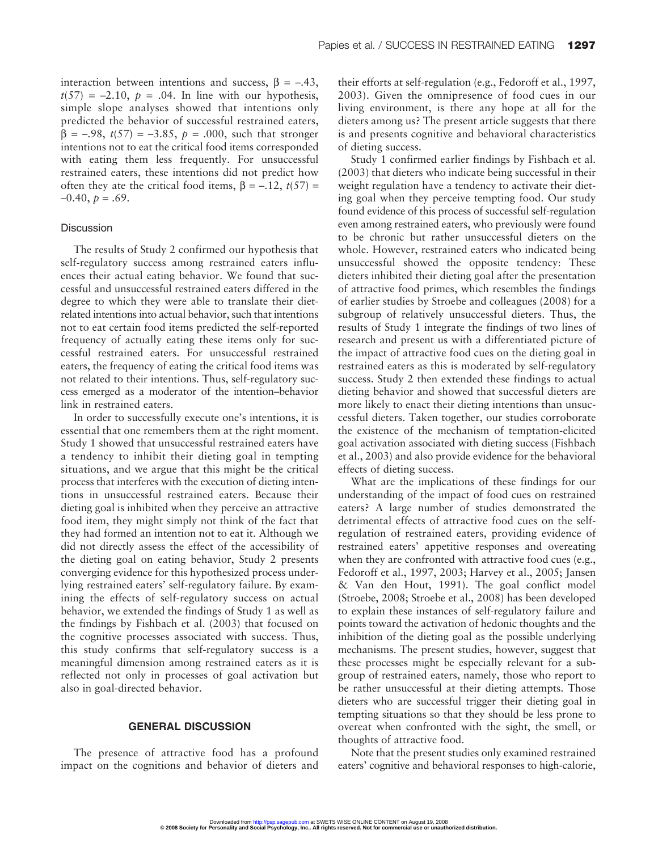interaction between intentions and success,  $β = -.43$ ,  $t(57) = -2.10$ ,  $p = .04$ . In line with our hypothesis, simple slope analyses showed that intentions only predicted the behavior of successful restrained eaters, β = –.98, *t*(57) = –3.85, *p* = .000, such that stronger intentions not to eat the critical food items corresponded with eating them less frequently. For unsuccessful restrained eaters, these intentions did not predict how often they ate the critical food items,  $\beta = -.12$ ,  $t(57) =$  $-0.40, p = .69$ .

#### **Discussion**

The results of Study 2 confirmed our hypothesis that self-regulatory success among restrained eaters influences their actual eating behavior. We found that successful and unsuccessful restrained eaters differed in the degree to which they were able to translate their dietrelated intentions into actual behavior, such that intentions not to eat certain food items predicted the self-reported frequency of actually eating these items only for successful restrained eaters. For unsuccessful restrained eaters, the frequency of eating the critical food items was not related to their intentions. Thus, self-regulatory success emerged as a moderator of the intention–behavior link in restrained eaters.

In order to successfully execute one's intentions, it is essential that one remembers them at the right moment. Study 1 showed that unsuccessful restrained eaters have a tendency to inhibit their dieting goal in tempting situations, and we argue that this might be the critical process that interferes with the execution of dieting intentions in unsuccessful restrained eaters. Because their dieting goal is inhibited when they perceive an attractive food item, they might simply not think of the fact that they had formed an intention not to eat it. Although we did not directly assess the effect of the accessibility of the dieting goal on eating behavior, Study 2 presents converging evidence for this hypothesized process underlying restrained eaters' self-regulatory failure. By examining the effects of self-regulatory success on actual behavior, we extended the findings of Study 1 as well as the findings by Fishbach et al. (2003) that focused on the cognitive processes associated with success. Thus, this study confirms that self-regulatory success is a meaningful dimension among restrained eaters as it is reflected not only in processes of goal activation but also in goal-directed behavior.

# **GENERAL DISCUSSION**

The presence of attractive food has a profound impact on the cognitions and behavior of dieters and their efforts at self-regulation (e.g., Fedoroff et al., 1997, 2003). Given the omnipresence of food cues in our living environment, is there any hope at all for the dieters among us? The present article suggests that there is and presents cognitive and behavioral characteristics of dieting success.

Study 1 confirmed earlier findings by Fishbach et al. (2003) that dieters who indicate being successful in their weight regulation have a tendency to activate their dieting goal when they perceive tempting food. Our study found evidence of this process of successful self-regulation even among restrained eaters, who previously were found to be chronic but rather unsuccessful dieters on the whole. However, restrained eaters who indicated being unsuccessful showed the opposite tendency: These dieters inhibited their dieting goal after the presentation of attractive food primes, which resembles the findings of earlier studies by Stroebe and colleagues (2008) for a subgroup of relatively unsuccessful dieters. Thus, the results of Study 1 integrate the findings of two lines of research and present us with a differentiated picture of the impact of attractive food cues on the dieting goal in restrained eaters as this is moderated by self-regulatory success. Study 2 then extended these findings to actual dieting behavior and showed that successful dieters are more likely to enact their dieting intentions than unsuccessful dieters. Taken together, our studies corroborate the existence of the mechanism of temptation-elicited goal activation associated with dieting success (Fishbach et al., 2003) and also provide evidence for the behavioral effects of dieting success.

What are the implications of these findings for our understanding of the impact of food cues on restrained eaters? A large number of studies demonstrated the detrimental effects of attractive food cues on the selfregulation of restrained eaters, providing evidence of restrained eaters' appetitive responses and overeating when they are confronted with attractive food cues (e.g., Fedoroff et al., 1997, 2003; Harvey et al., 2005; Jansen & Van den Hout, 1991). The goal conflict model (Stroebe, 2008; Stroebe et al., 2008) has been developed to explain these instances of self-regulatory failure and points toward the activation of hedonic thoughts and the inhibition of the dieting goal as the possible underlying mechanisms. The present studies, however, suggest that these processes might be especially relevant for a subgroup of restrained eaters, namely, those who report to be rather unsuccessful at their dieting attempts. Those dieters who are successful trigger their dieting goal in tempting situations so that they should be less prone to overeat when confronted with the sight, the smell, or thoughts of attractive food.

Note that the present studies only examined restrained eaters' cognitive and behavioral responses to high-calorie,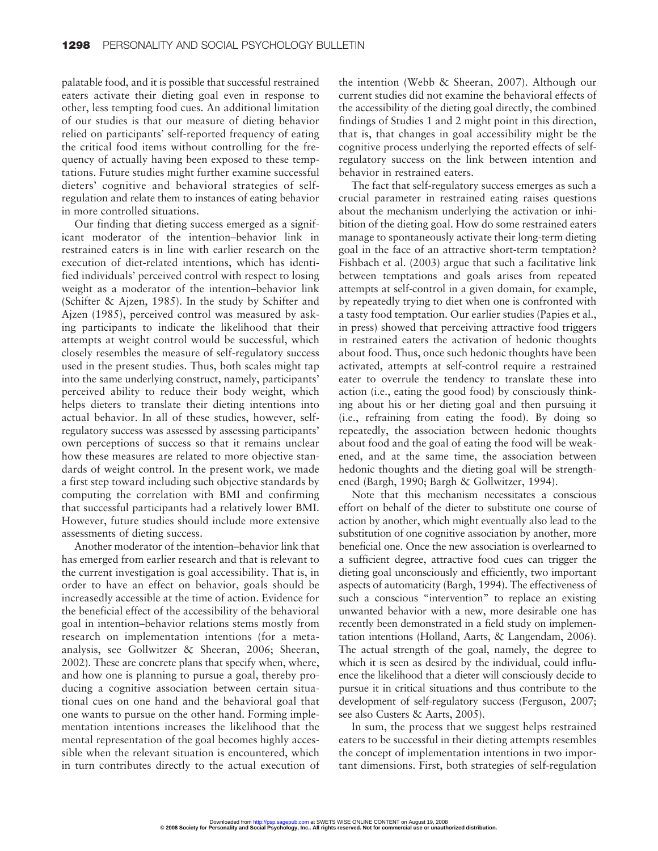palatable food, and it is possible that successful restrained eaters activate their dieting goal even in response to other, less tempting food cues. An additional limitation of our studies is that our measure of dieting behavior relied on participants' self-reported frequency of eating the critical food items without controlling for the frequency of actually having been exposed to these temptations. Future studies might further examine successful dieters' cognitive and behavioral strategies of selfregulation and relate them to instances of eating behavior in more controlled situations.

Our finding that dieting success emerged as a significant moderator of the intention–behavior link in restrained eaters is in line with earlier research on the execution of diet-related intentions, which has identified individuals' perceived control with respect to losing weight as a moderator of the intention–behavior link (Schifter & Ajzen, 1985). In the study by Schifter and Ajzen (1985), perceived control was measured by asking participants to indicate the likelihood that their attempts at weight control would be successful, which closely resembles the measure of self-regulatory success used in the present studies. Thus, both scales might tap into the same underlying construct, namely, participants' perceived ability to reduce their body weight, which helps dieters to translate their dieting intentions into actual behavior. In all of these studies, however, selfregulatory success was assessed by assessing participants' own perceptions of success so that it remains unclear how these measures are related to more objective standards of weight control. In the present work, we made a first step toward including such objective standards by computing the correlation with BMI and confirming that successful participants had a relatively lower BMI. However, future studies should include more extensive assessments of dieting success.

Another moderator of the intention–behavior link that has emerged from earlier research and that is relevant to the current investigation is goal accessibility. That is, in order to have an effect on behavior, goals should be increasedly accessible at the time of action. Evidence for the beneficial effect of the accessibility of the behavioral goal in intention–behavior relations stems mostly from research on implementation intentions (for a metaanalysis, see Gollwitzer & Sheeran, 2006; Sheeran, 2002). These are concrete plans that specify when, where, and how one is planning to pursue a goal, thereby producing a cognitive association between certain situational cues on one hand and the behavioral goal that one wants to pursue on the other hand. Forming implementation intentions increases the likelihood that the mental representation of the goal becomes highly accessible when the relevant situation is encountered, which in turn contributes directly to the actual execution of

the intention (Webb & Sheeran, 2007). Although our current studies did not examine the behavioral effects of the accessibility of the dieting goal directly, the combined findings of Studies 1 and 2 might point in this direction, that is, that changes in goal accessibility might be the cognitive process underlying the reported effects of selfregulatory success on the link between intention and behavior in restrained eaters.

The fact that self-regulatory success emerges as such a crucial parameter in restrained eating raises questions about the mechanism underlying the activation or inhibition of the dieting goal. How do some restrained eaters manage to spontaneously activate their long-term dieting goal in the face of an attractive short-term temptation? Fishbach et al. (2003) argue that such a facilitative link between temptations and goals arises from repeated attempts at self-control in a given domain, for example, by repeatedly trying to diet when one is confronted with a tasty food temptation. Our earlier studies (Papies et al., in press) showed that perceiving attractive food triggers in restrained eaters the activation of hedonic thoughts about food. Thus, once such hedonic thoughts have been activated, attempts at self-control require a restrained eater to overrule the tendency to translate these into action (i.e., eating the good food) by consciously thinking about his or her dieting goal and then pursuing it (i.e., refraining from eating the food). By doing so repeatedly, the association between hedonic thoughts about food and the goal of eating the food will be weakened, and at the same time, the association between hedonic thoughts and the dieting goal will be strengthened (Bargh, 1990; Bargh & Gollwitzer, 1994).

Note that this mechanism necessitates a conscious effort on behalf of the dieter to substitute one course of action by another, which might eventually also lead to the substitution of one cognitive association by another, more beneficial one. Once the new association is overlearned to a sufficient degree, attractive food cues can trigger the dieting goal unconsciously and efficiently, two important aspects of automaticity (Bargh, 1994). The effectiveness of such a conscious "intervention" to replace an existing unwanted behavior with a new, more desirable one has recently been demonstrated in a field study on implementation intentions (Holland, Aarts, & Langendam, 2006). The actual strength of the goal, namely, the degree to which it is seen as desired by the individual, could influence the likelihood that a dieter will consciously decide to pursue it in critical situations and thus contribute to the development of self-regulatory success (Ferguson, 2007; see also Custers & Aarts, 2005).

In sum, the process that we suggest helps restrained eaters to be successful in their dieting attempts resembles the concept of implementation intentions in two important dimensions. First, both strategies of self-regulation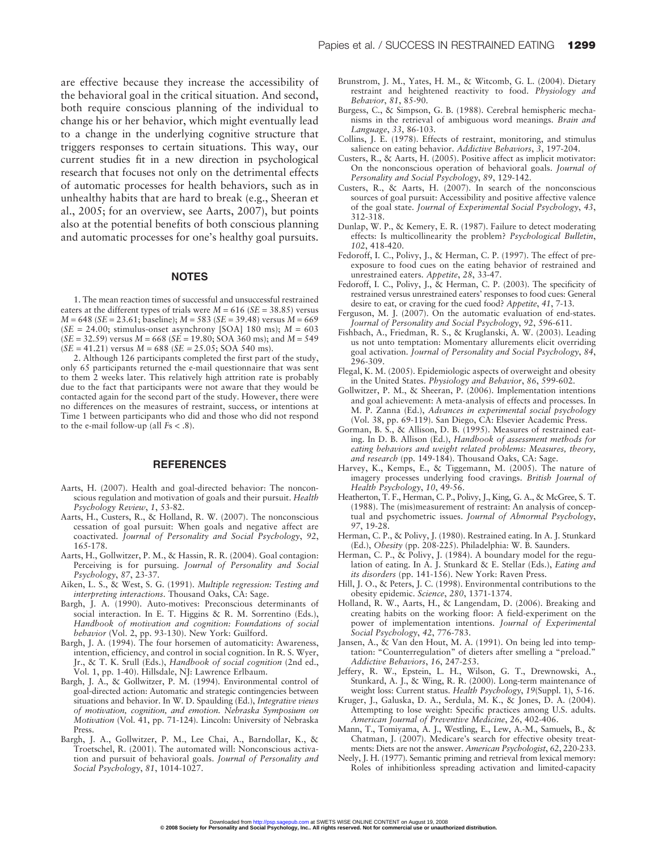are effective because they increase the accessibility of the behavioral goal in the critical situation. And second, both require conscious planning of the individual to change his or her behavior, which might eventually lead to a change in the underlying cognitive structure that triggers responses to certain situations. This way, our current studies fit in a new direction in psychological research that focuses not only on the detrimental effects of automatic processes for health behaviors, such as in unhealthy habits that are hard to break (e.g., Sheeran et al., 2005; for an overview, see Aarts, 2007), but points also at the potential benefits of both conscious planning and automatic processes for one's healthy goal pursuits.

#### **NOTES**

1. The mean reaction times of successful and unsuccessful restrained eaters at the different types of trials were  $M = 616$  ( $SE = 38.85$ ) versus *M* = 648 (*SE* = 23.61; baseline); *M* = 583 (*SE* = 39.48) versus *M* = 669  $(SE = 24.00;$  stimulus-onset asynchrony [SOA] 180 ms);  $M = 603$ (*SE* = 32.59) versus *M* = 668 (*SE* = 19.80; SOA 360 ms); and *M* = 549 (*SE* = 41.21) versus *M* = 688 (*SE* <sup>=</sup> 25.05; SOA 540 ms).

2. Although 126 participants completed the first part of the study, only 65 participants returned the e-mail questionnaire that was sent to them 2 weeks later. This relatively high attrition rate is probably due to the fact that participants were not aware that they would be contacted again for the second part of the study. However, there were no differences on the measures of restraint, success, or intentions at Time 1 between participants who did and those who did not respond to the e-mail follow-up (all *F*s < .8).

#### **REFERENCES**

- Aarts, H. (2007). Health and goal-directed behavior: The nonconscious regulation and motivation of goals and their pursuit. *Health Psychology Review*, *1*, 53-82.
- Aarts, H., Custers, R., & Holland, R. W. (2007). The nonconscious cessation of goal pursuit: When goals and negative affect are coactivated. *Journal of Personality and Social Psychology*, *92*, 165-178.
- Aarts, H., Gollwitzer, P. M., & Hassin, R. R. (2004). Goal contagion: Perceiving is for pursuing. *Journal of Personality and Social Psychology*, *87*, 23-37.
- Aiken, L. S., & West, S. G. (1991). *Multiple regression: Testing and interpreting interactions*. Thousand Oaks, CA: Sage.
- Bargh, J. A. (1990). Auto-motives: Preconscious determinants of social interaction. In E. T. Higgins & R. M. Sorrentino (Eds.), *Handbook of motivation and cognition: Foundations of social behavior* (Vol. 2, pp. 93-130). New York: Guilford.
- Bargh, J. A. (1994). The four horsemen of automaticity: Awareness, intention, efficiency, and control in social cognition. In R. S. Wyer, Jr., & T. K. Srull (Eds.), *Handbook of social cognition* (2nd ed., Vol. 1, pp. 1-40). Hillsdale, NJ: Lawrence Erlbaum.
- Bargh, J. A., & Gollwitzer, P. M. (1994). Environmental control of goal-directed action: Automatic and strategic contingencies between situations and behavior. In W. D. Spaulding (Ed.), *Integrative views of motivation, cognition, and emotion. Nebraska Symposium on Motivation* (Vol. 41, pp. 71-124). Lincoln: University of Nebraska Press.
- Bargh, J. A., Gollwitzer, P. M., Lee Chai, A., Barndollar, K., & Troetschel, R. (2001). The automated will: Nonconscious activation and pursuit of behavioral goals. *Journal of Personality and Social Psychology*, *81*, 1014-1027.
- Brunstrom, J. M., Yates, H. M., & Witcomb, G. L. (2004). Dietary restraint and heightened reactivity to food. *Physiology and Behavior*, *81*, 85-90.
- Burgess, C., & Simpson, G. B. (1988). Cerebral hemispheric mechanisms in the retrieval of ambiguous word meanings. *Brain and Language*, *33*, 86-103.
- Collins, J. E. (1978). Effects of restraint, monitoring, and stimulus salience on eating behavior. *Addictive Behaviors*, *3*, 197-204.
- Custers, R., & Aarts, H. (2005). Positive affect as implicit motivator: On the nonconscious operation of behavioral goals. *Journal of Personality and Social Psychology*, *89*, 129-142.
- Custers, R., & Aarts, H. (2007). In search of the nonconscious sources of goal pursuit: Accessibility and positive affective valence of the goal state. *Journal of Experimental Social Psychology*, *43*, 312-318.
- Dunlap, W. P., & Kemery, E. R. (1987). Failure to detect moderating effects: Is multicollinearity the problem? *Psychological Bulletin*, *102*, 418-420.
- Fedoroff, I. C., Polivy, J., & Herman, C. P. (1997). The effect of preexposure to food cues on the eating behavior of restrained and unrestrained eaters. *Appetite*, *28*, 33-47.
- Fedoroff, I. C., Polivy, J., & Herman, C. P. (2003). The specificity of restrained versus unrestrained eaters' responses to food cues: General desire to eat, or craving for the cued food? *Appetite*, *41*, 7-13.
- Ferguson, M. J. (2007). On the automatic evaluation of end-states. *Journal of Personality and Social Psychology*, *92*, 596-611.
- Fishbach, A., Friedman, R. S., & Kruglanski, A. W. (2003). Leading us not unto temptation: Momentary allurements elicit overriding goal activation. *Journal of Personality and Social Psychology*, *84*, 296-309.
- Flegal, K. M. (2005). Epidemiologic aspects of overweight and obesity in the United States. *Physiology and Behavior*, *86*, 599-602.
- Gollwitzer, P. M., & Sheeran, P. (2006). Implementation intentions and goal achievement: A meta-analysis of effects and processes. In M. P. Zanna (Ed.), *Advances in experimental social psychology* (Vol. 38, pp. 69-119). San Diego, CA: Elsevier Academic Press.
- Gorman, B. S., & Allison, D. B. (1995). Measures of restrained eating. In D. B. Allison (Ed.), *Handbook of assessment methods for eating behaviors and weight related problems: Measures, theory, and research* (pp. 149-184). Thousand Oaks, CA: Sage.
- Harvey, K., Kemps, E., & Tiggemann, M. (2005). The nature of imagery processes underlying food cravings. *British Journal of Health Psychology*, *10*, 49-56.
- Heatherton, T. F., Herman, C. P., Polivy, J., King, G. A., & McGree, S. T. (1988). The (mis)measurement of restraint: An analysis of conceptual and psychometric issues. *Journal of Abnormal Psychology*, *97*, 19-28.
- Herman, C. P., & Polivy, J. (1980). Restrained eating. In A. J. Stunkard (Ed.), *Obesity* (pp. 208-225). Philadelphia: W. B. Saunders.
- Herman, C. P., & Polivy, J. (1984). A boundary model for the regulation of eating. In A. J. Stunkard & E. Stellar (Eds.), *Eating and its disorders* (pp. 141-156). New York: Raven Press.
- Hill, J. O., & Peters, J. C. (1998). Environmental contributions to the obesity epidemic. *Science*, *280*, 1371-1374.
- Holland, R. W., Aarts, H., & Langendam, D. (2006). Breaking and creating habits on the working floor: A field-experiment on the power of implementation intentions. *Journal of Experimental Social Psychology*, *42*, 776-783.
- Jansen, A., & Van den Hout, M. A. (1991). On being led into temptation: "Counterregulation" of dieters after smelling a "preload." *Addictive Behaviors*, *16*, 247-253.
- Jeffery, R. W., Epstein, L. H., Wilson, G. T., Drewnowski, A., Stunkard, A. J., & Wing, R. R. (2000). Long-term maintenance of weight loss: Current status. *Health Psychology*, *19*(Suppl. 1), 5-16.
- Kruger, J., Galuska, D. A., Serdula, M. K., & Jones, D. A. (2004). Attempting to lose weight: Specific practices among U.S. adults. *American Journal of Preventive Medicine*, *26*, 402-406.
- Mann, T., Tomiyama, A. J., Westling, E., Lew, A.-M., Samuels, B., & Chatman, J. (2007). Medicare's search for effective obesity treatments: Diets are not the answer. *American Psychologist*, *62*, 220-233.
- Neely, J. H. (1977). Semantic priming and retrieval from lexical memory: Roles of inhibitionless spreading activation and limited-capacity